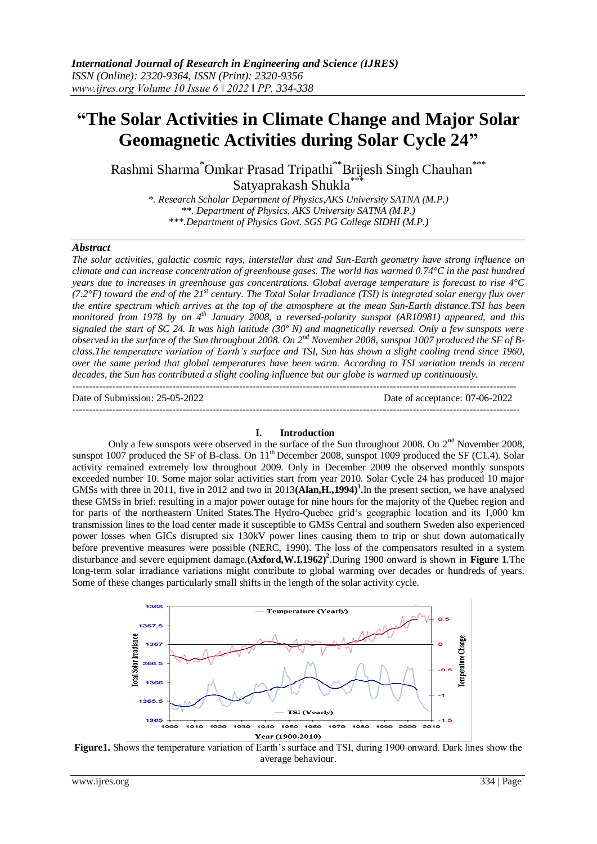# **"The Solar Activities in Climate Change and Major Solar Geomagnetic Activities during Solar Cycle 24"**

Rashmi Sharma\*Omkar Prasad Tripathi\*\*Brijesh Singh Chauhan\*\*\* Satyaprakash Shukla<sup>\*\*</sup>

> *\*. Research Scholar Department of Physics,AKS University SATNA (M.P.) \*\*. Department of Physics, AKS University SATNA (M.P.) \*\*\*.Department of Physics Govt. SGS PG College SIDHI (M.P.)*

## *Abstract*

*The solar activities, galactic cosmic rays, interstellar dust and Sun-Earth geometry have strong influence on climate and can increase concentration of greenhouse gases. The world has warmed 0.74°C in the past hundred years due to increases in greenhouse gas concentrations. Global average temperature is forecast to rise 4°C (7.2°F) toward the end of the 21st century. The Total Solar Irradiance (TSI) is integrated solar energy flux over the entire spectrum which arrives at the top of the atmosphere at the mean Sun-Earth distance.TSI has been monitored from 1978 by on 4th January 2008, a reversed-polarity sunspot (AR10981) appeared, and this signaled the start of SC 24. It was high latitude (30º N) and magnetically reversed. Only a few sunspots were observed in the surface of the Sun throughout 2008. On 2nd November 2008, sunspot 1007 produced the SF of Bclass.The temperature variation of Earth's surface and TSI, Sun has shown a slight cooling trend since 1960, over the same period that global temperatures have been warm. According to TSI variation trends in recent decades, the Sun has contributed a slight cooling influence but our globe is warmed up continuously.*  -------------------------------------------------------------------------------------------------------------------------------------

Date of Submission: 25-05-2022 Date of acceptance: 07-06-2022 --------------------------------------------------------------------------------------------------------------------------------------

#### **I. Introduction**

Only a few sunspots were observed in the surface of the Sun throughout 2008. On 2<sup>nd</sup> November 2008, sunspot  $1007$  produced the SF of B-class. On  $11<sup>th</sup>$  December 2008, sunspot 1009 produced the SF (C1.4). Solar activity remained extremely low throughout 2009. Only in December 2009 the observed monthly sunspots exceeded number 10. Some major solar activities start from year 2010. Solar Cycle 24 has produced 10 major GMSs with three in 2011, five in 2012 and two in 2013(Alan, H., 1994)<sup>1</sup>. In the present section, we have analysed these GMSs in brief: resulting in a major power outage for nine hours for the majority of the Quebec region and for parts of the northeastern United States.The Hydro-Quebec grid's geographic location and its 1,000 km transmission lines to the load center made it susceptible to GMSs Central and southern Sweden also experienced power losses when GICs disrupted six 130kV power lines causing them to trip or shut down automatically before preventive measures were possible (NERC, 1990). The loss of the compensators resulted in a system disturbance and severe equipment damage.**(Axford,W.I.1962) 2** .During 1900 onward is shown in **Figure 1**.The long-term solar irradiance variations might contribute to global warming over decades or hundreds of years. Some of these changes particularly small shifts in the length of the solar activity cycle.



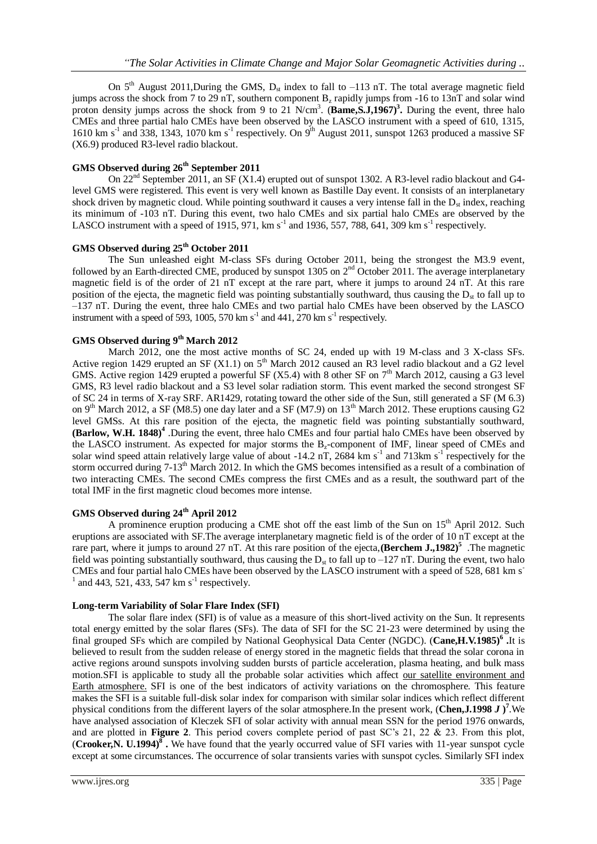On  $5<sup>th</sup>$  August 2011, During the GMS,  $D_{st}$  index to fall to -113 nT. The total average magnetic field jumps across the shock from 7 to 29 nT, southern component B<sup>z</sup> rapidly jumps from -16 to 13nT and solar wind proton density jumps across the shock from 9 to 21 N/cm<sup>3</sup>. (Bame, S.J, 1967)<sup>3</sup>. During the event, three halo CMEs and three partial halo CMEs have been observed by the LASCO instrument with a speed of 610, 1315, 1610 km s<sup>-1</sup> and 338, 1343, 1070 km s<sup>-1</sup> respectively. On 9<sup>th</sup> August 2011, sunspot 1263 produced a massive SF (X6.9) produced R3-level radio blackout.

### **GMS Observed during 26th September 2011**

On 22<sup>nd</sup> September 2011, an SF (X1.4) erupted out of sunspot 1302. A R3-level radio blackout and G4level GMS were registered. This event is very well known as Bastille Day event. It consists of an interplanetary shock driven by magnetic cloud. While pointing southward it causes a very intense fall in the  $D_{st}$  index, reaching its minimum of -103 nT. During this event, two halo CMEs and six partial halo CMEs are observed by the LASCO instrument with a speed of 1915, 971,  $km s^{-1}$  and 1936, 557, 788, 641, 309  $km s^{-1}$  respectively.

# **GMS Observed during 25th October 2011**

The Sun unleashed eight M-class SFs during October 2011, being the strongest the M3.9 event, followed by an Earth-directed CME, produced by sunspot 1305 on 2<sup>nd</sup> October 2011. The average interplanetary magnetic field is of the order of 21 nT except at the rare part, where it jumps to around 24 nT. At this rare position of the ejecta, the magnetic field was pointing substantially southward, thus causing the  $D_{st}$  to fall up to –137 nT. During the event, three halo CMEs and two partial halo CMEs have been observed by the LASCO instrument with a speed of 593, 1005, 570 km s<sup>-1</sup> and 441, 270 km s<sup>-1</sup> respectively.

# **GMS Observed during 9th March 2012**

March 2012, one the most active months of SC 24, ended up with 19 M-class and 3 X-class SFs. Active region 1429 erupted an SF (X1.1) on  $5<sup>th</sup>$  March 2012 caused an R3 level radio blackout and a G2 level GMS. Active region 1429 erupted a powerful SF (X5.4) with 8 other SF on  $7<sup>th</sup>$  March 2012, causing a G3 level GMS, R3 level radio blackout and a S3 level solar radiation storm. This event marked the second strongest SF of SC 24 in terms of X-ray SRF. AR1429, rotating toward the other side of the Sun, still generated a SF (M 6.3) on 9<sup>th</sup> March 2012, a SF (M8.5) one day later and a SF (M7.9) on 13<sup>th</sup> March 2012. These eruptions causing G2 level GMSs. At this rare position of the ejecta, the magnetic field was pointing substantially southward, **(Barlow, W.H. 1848) 4** .During the event, three halo CMEs and four partial halo CMEs have been observed by the LASCO instrument. As expected for major storms the  $B<sub>z</sub>$ -component of IMF, linear speed of CMEs and solar wind speed attain relatively large value of about -14.2 nT, 2684 km  $s^{-1}$  and 713km  $s^{-1}$  respectively for the storm occurred during 7-13<sup>th</sup> March 2012. In which the GMS becomes intensified as a result of a combination of two interacting CMEs. The second CMEs compress the first CMEs and as a result, the southward part of the total IMF in the first magnetic cloud becomes more intense.

## **GMS Observed during 24th April 2012**

A prominence eruption producing a CME shot off the east limb of the Sun on 15<sup>th</sup> April 2012. Such eruptions are associated with SF.The average interplanetary magnetic field is of the order of 10 nT except at the rare part, where it jumps to around 27 nT. At this rare position of the ejecta, **(Berchem J., 1982**)<sup>5</sup>. The magnetic field was pointing substantially southward, thus causing the  $D_{st}$  to fall up to  $-127$  nT. During the event, two halo CMEs and four partial halo CMEs have been observed by the LASCO instrument with a speed of 528, 681 km s- $^{1}$  and 443, 521, 433, 547 km s<sup>-1</sup> respectively.

#### **Long-term Variability of Solar Flare Index (SFI)**

The solar flare index (SFI) is of value as a measure of this short-lived activity on the Sun. It represents total energy emitted by the solar flares (SFs). The data of SFI for the SC 21-23 were determined by using the final grouped SFs which are compiled by National Geophysical Data Center (NGDC). (**Cane,H.V.1985) 6 .**It is believed to result from the sudden release of energy stored in the magnetic fields that thread the solar corona in active regions around sunspots involving sudden bursts of particle acceleration, plasma heating, and bulk mass motion.SFI is applicable to study all the probable solar activities which affect [our satellite environment and](http://www.koeri.boun.edu.tr/astronomy/primer.html)  [Earth atmosphere.](http://www.koeri.boun.edu.tr/astronomy/primer.html) SFI is one of the best indicators of activity variations on the chromosphere. This feature makes the SFI is a suitable full-disk solar index for comparison with similar solar indices which reflect different physical conditions from the different layers of the solar atmosphere.In the present work, (**Chen,J.1998** *J* **) 7** .We have analysed association of Kleczek SFI of solar activity with annual mean SSN for the period 1976 onwards, and are plotted in **Figure 2**. This period covers complete period of past SC's 21, 22 & 23. From this plot, (**Crooker,N. U.1994) 8 .** We have found that the yearly occurred value of SFI varies with 11-year sunspot cycle except at some circumstances. The occurrence of solar transients varies with sunspot cycles. Similarly SFI index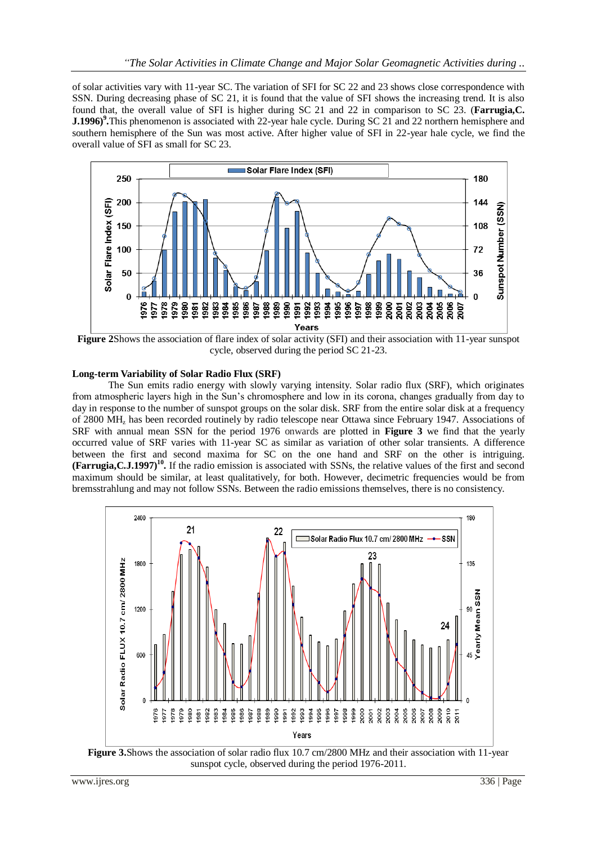of solar activities vary with 11-year SC. The variation of SFI for SC 22 and 23 shows close correspondence with SSN. During decreasing phase of SC 21, it is found that the value of SFI shows the increasing trend. It is also found that, the overall value of SFI is higher during SC 21 and 22 in comparison to SC 23. (**Farrugia,C. J.1996)<sup>9</sup>**. This phenomenon is associated with 22-year hale cycle. During SC 21 and 22 northern hemisphere and southern hemisphere of the Sun was most active. After higher value of SFI in 22-year hale cycle, we find the overall value of SFI as small for SC 23.



**Figure 2**Shows the association of flare index of solar activity (SFI) and their association with 11-year sunspot cycle, observed during the period SC 21-23.

### **Long-term Variability of Solar Radio Flux (SRF)**

The Sun emits radio energy with slowly varying intensity. Solar radio flux (SRF), which originates from atmospheric layers high in the Sun's chromosphere and low in its corona, changes gradually from day to day in response to the number of sunspot groups on the solar disk. SRF from the entire solar disk at a frequency of 2800 MH<sup>z</sup> has been recorded routinely by radio telescope near Ottawa since February 1947. Associations of SRF with annual mean SSN for the period 1976 onwards are plotted in **Figure 3** we find that the yearly occurred value of SRF varies with 11-year SC as similar as variation of other solar transients. A difference between the first and second maxima for SC on the one hand and SRF on the other is intriguing. **(Farrugia,C.J.1997) 10 .** If the radio emission is associated with SSNs, the relative values of the first and second maximum should be similar, at least qualitatively, for both. However, decimetric frequencies would be from bremsstrahlung and may not follow SSNs. Between the radio emissions themselves, there is no consistency.



**Figure 3.** Shows the association of solar radio flux 10.7 cm/2800 MHz and their association with 11-year sunspot cycle, observed during the period 1976-2011.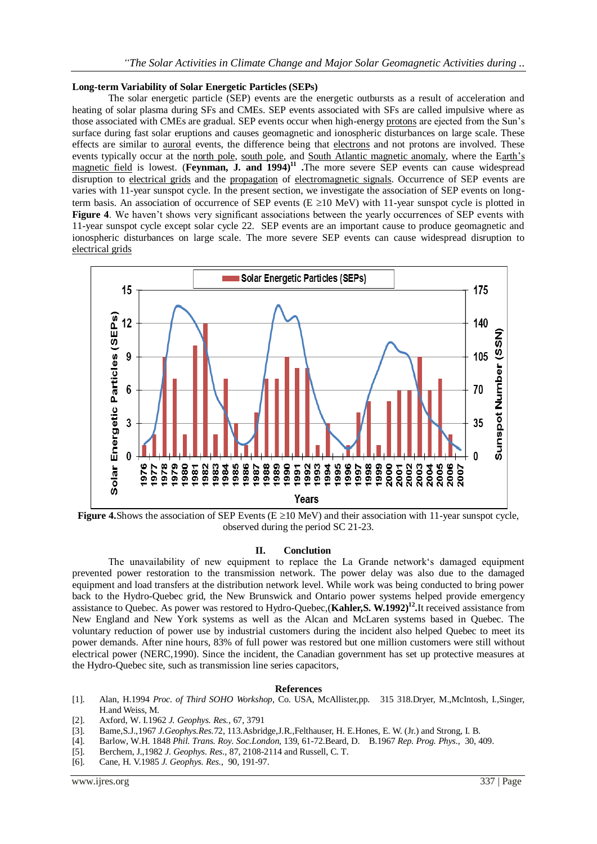#### **Long-term Variability of Solar Energetic Particles (SEPs)**

The solar energetic particle (SEP) events are the energetic outbursts as a result of acceleration and heating of solar plasma during SFs and CMEs. SEP events associated with SFs are called impulsive where as those associated with CMEs are gradual. SEP events occur when high-energ[y protons](http://www.answers.com/main/ntquery?method=4&dsid=2222&dekey=Proton&gwp=8&curtab=2222_1) are ejected from the Sun's surface during fast solar eruptions and causes geomagnetic and ionospheric disturbances on large scale. These effects are similar to [auroral](http://www.answers.com/main/ntquery?method=4&dsid=2222&dekey=Aurora+%28astronomy%29&gwp=8&curtab=2222_1) events, the difference being that [electrons](http://www.answers.com/main/ntquery?method=4&dsid=2222&dekey=Electron&gwp=8&curtab=2222_1) and not protons are involved. These events typically occur at the [north pole,](http://www.answers.com/main/ntquery?method=4&dsid=2222&dekey=North+Pole&gwp=8&curtab=2222_1) [south pole,](http://www.answers.com/main/ntquery?method=4&dsid=2222&dekey=South+Pole&gwp=8&curtab=2222_1) and [South Atlantic magnetic anomaly,](http://www.answers.com/main/ntquery?method=4&dsid=2222&dekey=South+Atlantic+Anomaly&gwp=8&curtab=2222_1) where the [Earth's](http://www.answers.com/main/ntquery?method=4&dsid=2222&dekey=Earth%27s+magnetic+field&gwp=8&curtab=2222_1)  [magnetic field](http://www.answers.com/main/ntquery?method=4&dsid=2222&dekey=Earth%27s+magnetic+field&gwp=8&curtab=2222_1) is lowest. (**Feynman, J. and 1994**)<sup>11</sup> The more severe SEP events can cause widespread disruption to [electrical grids](http://www.answers.com/main/ntquery?method=4&dsid=2222&dekey=Electric+power+transmission&gwp=8&curtab=2222_1) and the [propagation](http://www.answers.com/main/ntquery?method=4&dsid=2222&dekey=Propagation&gwp=8&curtab=2222_1) of [electromagnetic](http://www.answers.com/main/ntquery?method=4&dsid=2222&dekey=Radio&gwp=8&curtab=2222_1) signals. Occurrence of SEP events are varies with 11-year sunspot cycle. In the present section, we investigate the association of SEP events on longterm basis. An association of occurrence of SEP events ( $E \ge 10$  MeV) with 11-year sunspot cycle is plotted in **Figure 4.** We haven't shows very significant associations between the yearly occurrences of SEP events with 11-year sunspot cycle except solar cycle 22. SEP events are an important cause to produce geomagnetic and ionospheric disturbances on large scale. The more severe SEP events can cause widespread disruption to [electrical grids](http://www.answers.com/main/ntquery?method=4&dsid=2222&dekey=Electric+power+transmission&gwp=8&curtab=2222_1)



**Figure 4.**Shows the association of SEP Events ( $E \ge 10$  MeV) and their association with 11-year sunspot cycle, observed during the period SC 21-23.

#### **II. Conclution**

The unavailability of new equipment to replace the La Grande network's damaged equipment prevented power restoration to the transmission network. The power delay was also due to the damaged equipment and load transfers at the distribution network level. While work was being conducted to bring power back to the Hydro-Quebec grid, the New Brunswick and Ontario power systems helped provide emergency assistance to Quebec. As power was restored to Hydro-Quebec,(**Kahler,S. W.1992) 12 .**It received assistance from New England and New York systems as well as the Alcan and McLaren systems based in Quebec. The voluntary reduction of power use by industrial customers during the incident also helped Quebec to meet its power demands. After nine hours, 83% of full power was restored but one million customers were still without electrical power (NERC,1990). Since the incident, the Canadian government has set up protective measures at the Hydro-Quebec site, such as transmission line series capacitors,

#### **References**

- [1]. Alan, H.1994 *Proc. of Third SOHO Workshop,* Co. USA, McAllister,pp. 315 318.Dryer, M.,McIntosh, I.,Singer, H.and Weiss, M.
- [2]. Axford, W. I.1962 *J. Geophys. Res.,* 67, 3791
- [3]. Bame,S.J.,1967 *J.Geophys.Res.*72, 113.Asbridge,J.R.,Felthauser, H. E.Hones, E. W. (Jr.) and Strong, I. B.
- [4]. Barlow, W.H. 1848 *Phil. Trans. Roy. Soc.London*, 139, 61-72.Beard, D. B.1967 *Rep. Prog. Phys.,* 30, 409.
- [5]. Berchem, J.,1982 *J. Geophys. Res.,* 87, 2108-2114 and Russell, C. T.
- [6]. Cane, H. V.1985 *J. Geophys. Res.,* 90, 191-97.